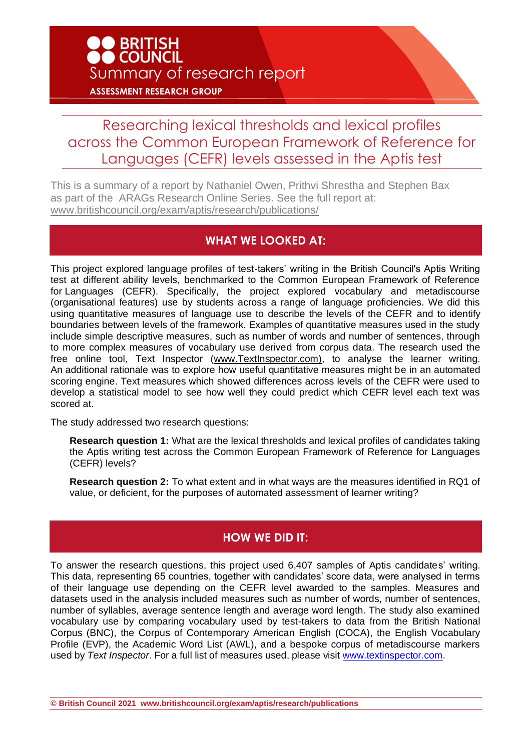## Researching lexical thresholds and lexical profiles across the Common European Framework of Reference for Languages (CEFR) levels assessed in the Aptis test

This is a summary of a report by Nathaniel Owen, Prithvi Shrestha and Stephen Bax as part of the ARAGs Research Online Series. See the full report at: [www.britishcouncil.org/exam/aptis/research/publications/](http://www.britishcouncil.org/exam/aptis/research/publications/)

## **WHAT WE LOOKED AT:**

This project explored language profiles of test-takers' writing in the British Council's Aptis Writing test at different ability levels, benchmarked to the Common European Framework of Reference for Languages (CEFR). Specifically, the project explored vocabulary and metadiscourse (organisational features) use by students across a range of language proficiencies. We did this using quantitative measures of language use to describe the levels of the CEFR and to identify boundaries between levels of the framework. Examples of quantitative measures used in the study include simple descriptive measures, such as number of words and number of sentences, through to more complex measures of vocabulary use derived from corpus data. The research used the free online tool, Text Inspector [\(www.TextInspector.com\)](http://www.textinspector.com/), to analyse the learner writing. An additional rationale was to explore how useful quantitative measures might be in an automated scoring engine. Text measures which showed differences across levels of the CEFR were used to develop a statistical model to see how well they could predict which CEFR level each text was scored at.

The study addressed two research questions:

**Research question 1:** What are the lexical thresholds and lexical profiles of candidates taking the Aptis writing test across the Common European Framework of Reference for Languages (CEFR) levels?

**Research question 2:** To what extent and in what ways are the measures identified in RQ1 of value, or deficient, for the purposes of automated assessment of learner writing?

## **HOW WE DID IT:**

To answer the research questions, this project used 6,407 samples of Aptis candidates' writing. This data, representing 65 countries, together with candidates' score data, were analysed in terms of their language use depending on the CEFR level awarded to the samples. Measures and datasets used in the analysis included measures such as number of words, number of sentences, number of syllables, average sentence length and average word length. The study also examined vocabulary use by comparing vocabulary used by test-takers to data from the British National Corpus (BNC), the Corpus of Contemporary American English (COCA), the English Vocabulary Profile (EVP), the Academic Word List (AWL), and a bespoke corpus of metadiscourse markers used by *Text Inspector*. For a full list of measures used, please visit [www.textinspector.com.](http://www.textinspector.com/)

**© British Council 2021 www.britishcouncil.org/exam/aptis/research/publications**